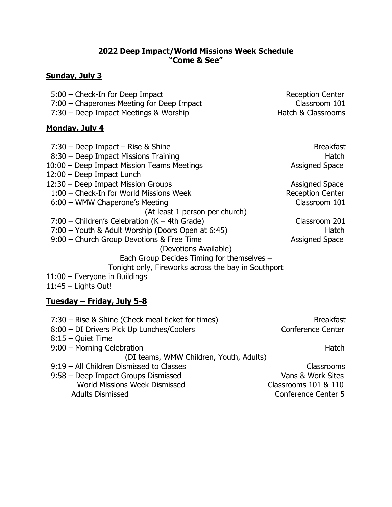### **2022 Deep Impact/World Missions Week Schedule "Come & See"**

#### **Sunday, July 3**

| <b>Reception Center</b> |
|-------------------------|
| Classroom 101           |
| Hatch & Classrooms      |
|                         |

### **Monday, July 4**

7:30 – Deep Impact – Rise & Shine Breakfast 8:30 – Deep Impact Missions Training Hatch 10:00 – Deep Impact Mission Teams Meetings and a state of the Assigned Space 12:00 – Deep Impact Lunch 12:30 – Deep Impact Mission Groups and Assigned Space 1:00 – Check-In for World Missions Week Reception Center 6:00 – WMW Chaperone's Meeting Classroom 101 (At least 1 person per church) 7:00 – Children's Celebration (K – 4th Grade) Classroom 201 7:00 – Youth & Adult Worship (Doors Open at 6:45) Hatch 9:00 – Church Group Devotions & Free Time Assigned Space (Devotions Available) Each Group Decides Timing for themselves – Tonight only, Fireworks across the bay in Southport 11:00 – Everyone in Buildings 11:45 – Lights Out!

# **Tuesday – Friday, July 5-8**

| 7:30 – Rise & Shine (Check meal ticket for times)<br>8:00 - DI Drivers Pick Up Lunches/Coolers | <b>Breakfast</b><br><b>Conference Center</b> |
|------------------------------------------------------------------------------------------------|----------------------------------------------|
| $8:15 -$ Quiet Time                                                                            |                                              |
| 9:00 - Morning Celebration                                                                     | Hatch                                        |
| (DI teams, WMW Children, Youth, Adults)                                                        |                                              |
| 9:19 - All Children Dismissed to Classes                                                       | Classrooms                                   |
| 9:58 - Deep Impact Groups Dismissed                                                            | Vans & Work Sites                            |
| World Missions Week Dismissed                                                                  | Classrooms 101 & 110                         |
| <b>Adults Dismissed</b>                                                                        | <b>Conference Center 5</b>                   |